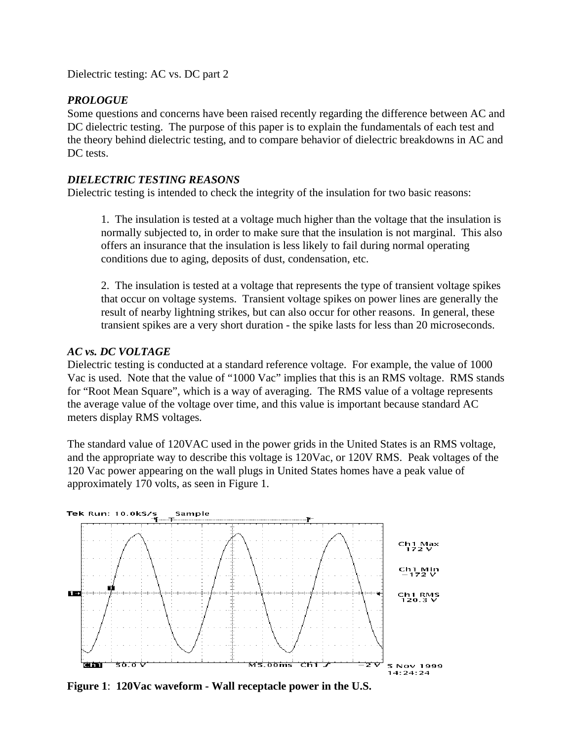Dielectric testing: AC vs. DC part 2

## *PROLOGUE*

Some questions and concerns have been raised recently regarding the difference between AC and DC dielectric testing. The purpose of this paper is to explain the fundamentals of each test and the theory behind dielectric testing, and to compare behavior of dielectric breakdowns in AC and DC tests.

#### *DIELECTRIC TESTING REASONS*

Dielectric testing is intended to check the integrity of the insulation for two basic reasons:

1. The insulation is tested at a voltage much higher than the voltage that the insulation is normally subjected to, in order to make sure that the insulation is not marginal. This also offers an insurance that the insulation is less likely to fail during normal operating conditions due to aging, deposits of dust, condensation, etc.

2. The insulation is tested at a voltage that represents the type of transient voltage spikes that occur on voltage systems. Transient voltage spikes on power lines are generally the result of nearby lightning strikes, but can also occur for other reasons. In general, these transient spikes are a very short duration - the spike lasts for less than 20 microseconds.

## *AC vs. DC VOLTAGE*

Dielectric testing is conducted at a standard reference voltage. For example, the value of 1000 Vac is used. Note that the value of "1000 Vac" implies that this is an RMS voltage. RMS stands for "Root Mean Square", which is a way of averaging. The RMS value of a voltage represents the average value of the voltage over time*,* and this value is important because standard AC meters display RMS voltages*.*

The standard value of 120VAC used in the power grids in the United States is an RMS voltage, and the appropriate way to describe this voltage is 120Vac, or 120V RMS. Peak voltages of the 120 Vac power appearing on the wall plugs in United States homes have a peak value of approximately 170 volts, as seen in Figure 1.



**Figure 1**: **120Vac waveform - Wall receptacle power in the U.S.**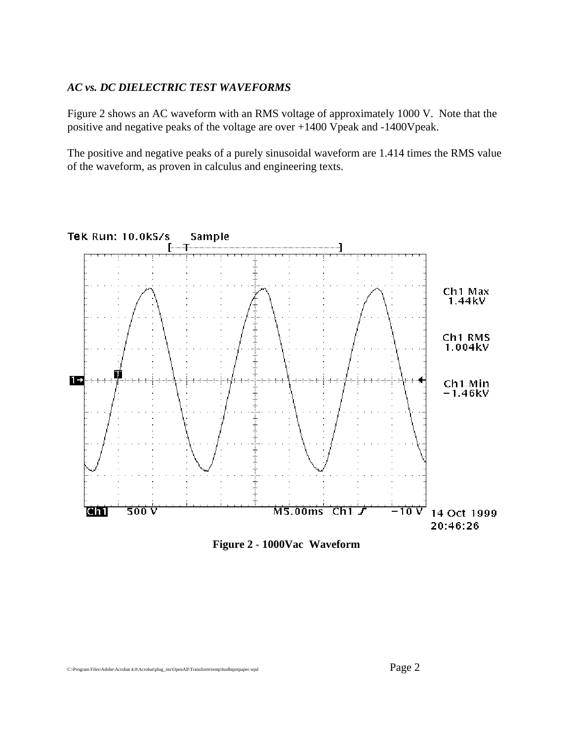#### *AC vs. DC DIELECTRIC TEST WAVEFORMS*

Figure 2 shows an AC waveform with an RMS voltage of approximately 1000 V. Note that the positive and negative peaks of the voltage are over +1400 Vpeak and -1400Vpeak.

The positive and negative peaks of a purely sinusoidal waveform are 1.414 times the RMS value of the waveform, as proven in calculus and engineering texts.



**Figure 2** - **1000Vac Waveform**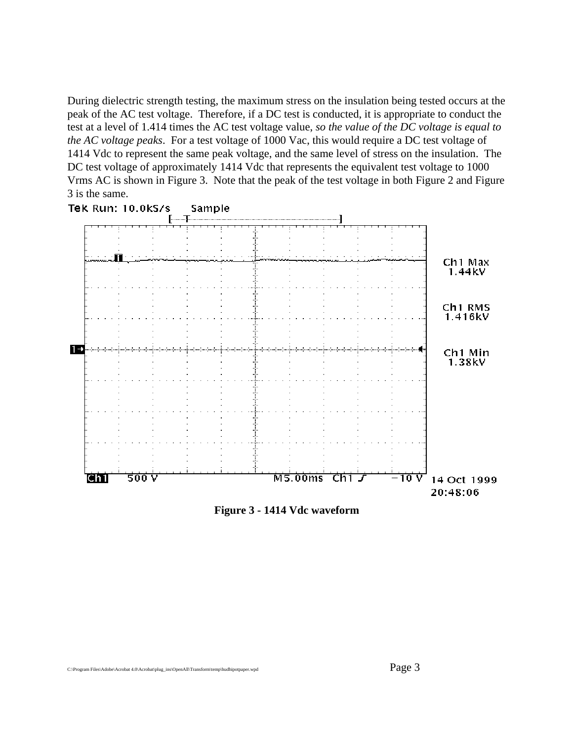During dielectric strength testing, the maximum stress on the insulation being tested occurs at the peak of the AC test voltage. Therefore, if a DC test is conducted, it is appropriate to conduct the test at a level of 1.414 times the AC test voltage value, *so the value of the DC voltage is equal to the AC voltage peaks*. For a test voltage of 1000 Vac, this would require a DC test voltage of 1414 Vdc to represent the same peak voltage, and the same level of stress on the insulation. The DC test voltage of approximately 1414 Vdc that represents the equivalent test voltage to 1000 Vrms AC is shown in Figure 3. Note that the peak of the test voltage in both Figure 2 and Figure 3 is the same.



**Figure 3 - 1414 Vdc waveform**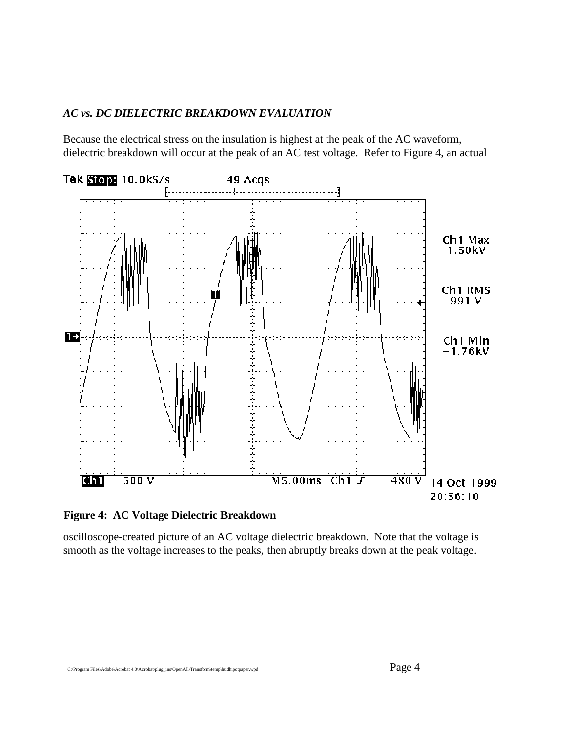## *AC vs. DC DIELECTRIC BREAKDOWN EVALUATION*

Because the electrical stress on the insulation is highest at the peak of the AC waveform, dielectric breakdown will occur at the peak of an AC test voltage*.* Refer to Figure 4, an actual



**Figure 4: AC Voltage Dielectric Breakdown**

oscilloscope-created picture of an AC voltage dielectric breakdown*.* Note that the voltage is smooth as the voltage increases to the peaks, then abruptly breaks down at the peak voltage.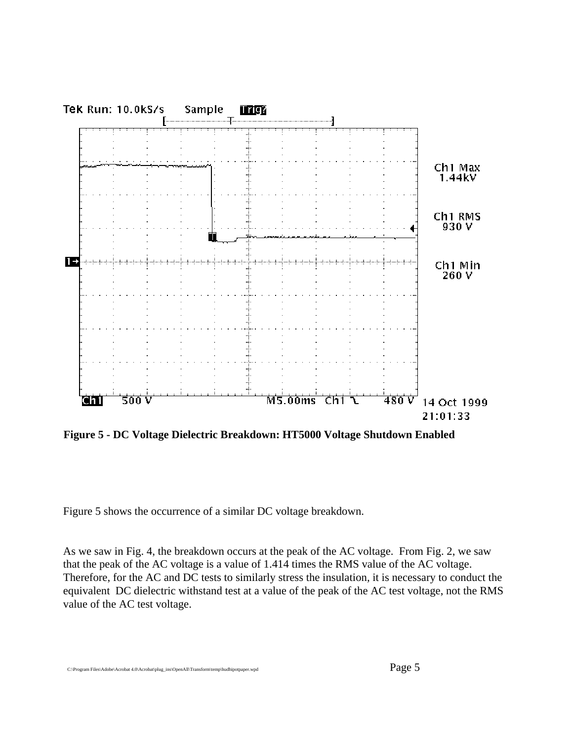

**Figure 5 - DC Voltage Dielectric Breakdown: HT5000 Voltage Shutdown Enabled**

Figure 5 shows the occurrence of a similar DC voltage breakdown.

As we saw in Fig. 4, the breakdown occurs at the peak of the AC voltage. From Fig. 2, we saw that the peak of the AC voltage is a value of 1.414 times the RMS value of the AC voltage. Therefore, for the AC and DC tests to similarly stress the insulation*,* it is necessary to conduct the equivalent DC dielectric withstand test at a value of the peak of the AC test voltage, not the RMS value of the AC test voltage.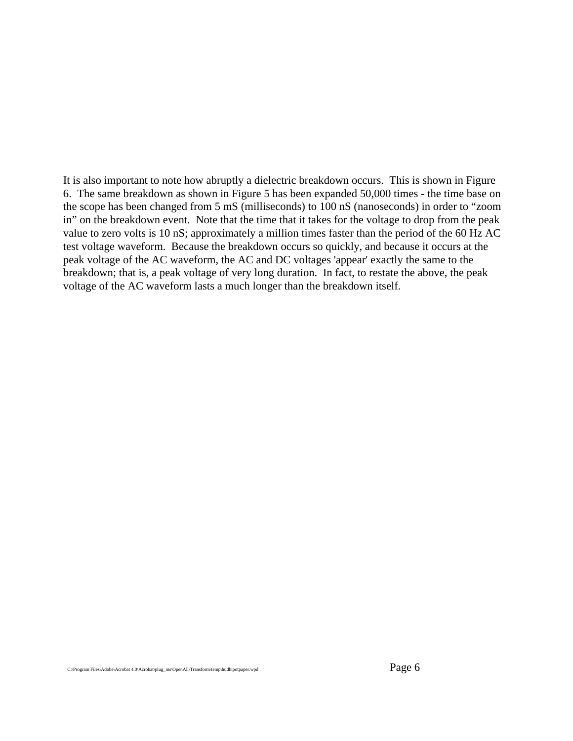It is also important to note how abruptly a dielectric breakdown occurs. This is shown in Figure 6. The same breakdown as shown in Figure 5 has been expanded 50,000 times - the time base on the scope has been changed from 5 mS (milliseconds) to 100 nS (nanoseconds) in order to "zoom in" on the breakdown event. Note that the time that it takes for the voltage to drop from the peak value to zero volts is 10 nS; approximately a million times faster than the period of the 60 Hz AC test voltage waveform. Because the breakdown occurs so quickly, and because it occurs at the peak voltage of the AC waveform, the AC and DC voltages 'appear' exactly the same to the breakdown; that is, a peak voltage of very long duration. In fact, to restate the above, the peak voltage of the AC waveform lasts a much longer than the breakdown itself*.*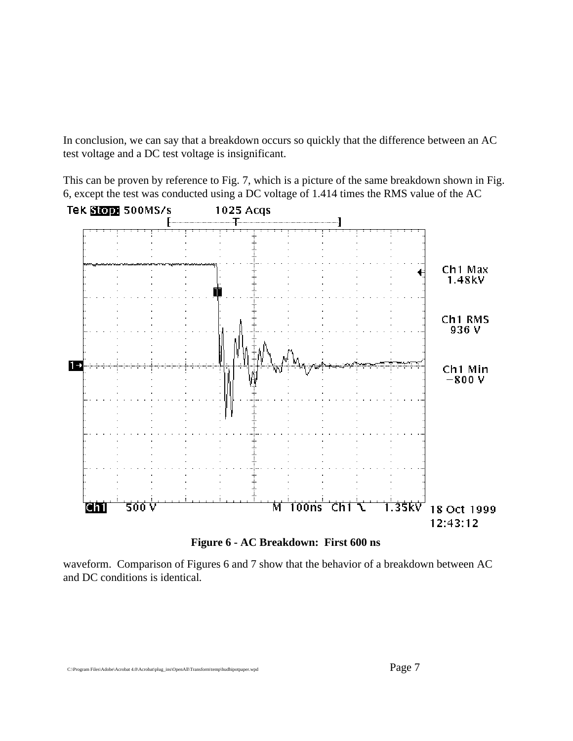In conclusion, we can say that a breakdown occurs so quickly that the difference between an AC test voltage and a DC test voltage is insignificant.

This can be proven by reference to Fig. 7, which is a picture of the same breakdown shown in Fig. 6, except the test was conducted using a DC voltage of 1.414 times the RMS value of the AC



**Figure 6 - AC Breakdown: First 600 ns**

waveform. Comparison of Figures 6 and 7 show that the behavior of a breakdown between AC and DC conditions is identical*.*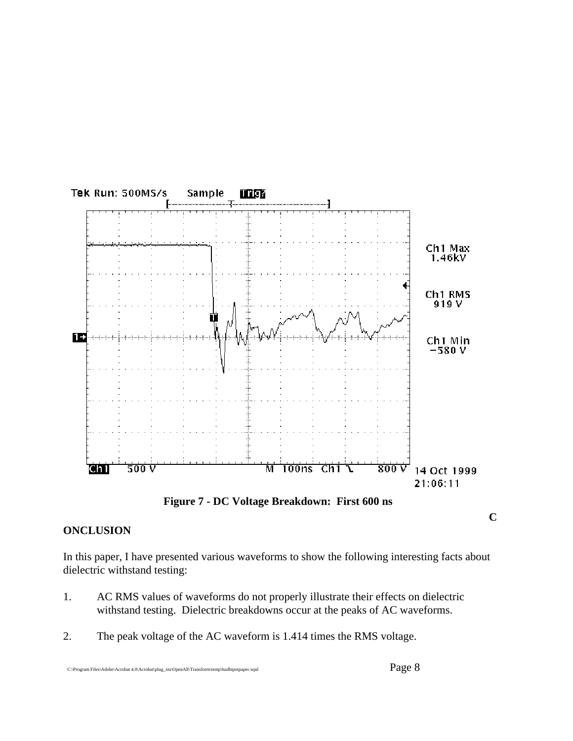

**Figure 7 - DC Voltage Breakdown: First 600 ns**

**C**

# **ONCLUSION**

In this paper, I have presented various waveforms to show the following interesting facts about dielectric withstand testing:

- 1. AC RMS values of waveforms do not properly illustrate their effects on dielectric withstand testing. Dielectric breakdowns occur at the peaks of AC waveforms.
- 2. The peak voltage of the AC waveform is 1.414 times the RMS voltage.